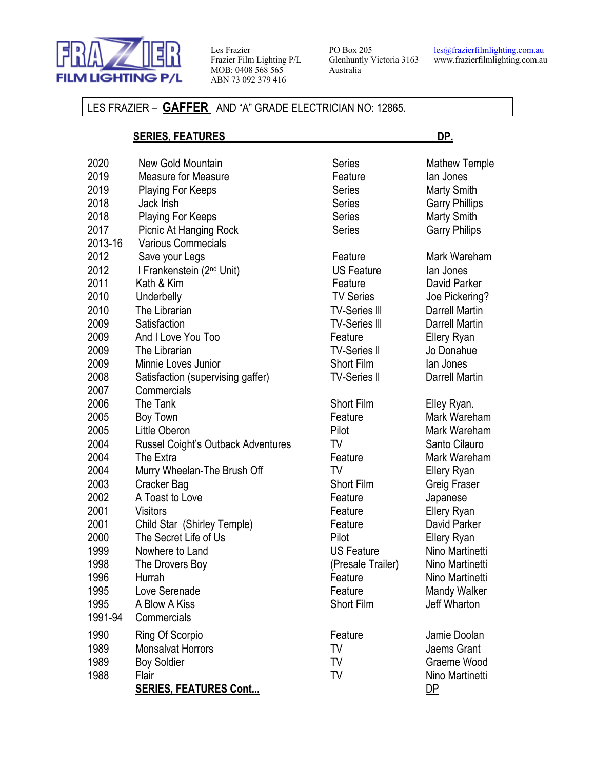

Les Frazier Frazier Film Lighting P/L MOB: 0408 568 565 ABN 73 092 379 416

PO Box 205 Glenhuntly Victoria 3163 Australia

les@frazierfilmlighting.com.au www.frazierfilmlighting.com.au

### LES FRAZIER – **GAFFER** AND "A" GRADE ELECTRICIAN NO: 12865.

### **SERIES, FEATURES DP.**

| 2020    | New Gold Mountain                         | Series               | Mathew Temple         |
|---------|-------------------------------------------|----------------------|-----------------------|
| 2019    | <b>Measure for Measure</b>                | Feature              | lan Jones             |
| 2019    | <b>Playing For Keeps</b>                  | <b>Series</b>        | <b>Marty Smith</b>    |
| 2018    | Jack Irish                                | Series               | <b>Garry Phillips</b> |
| 2018    | <b>Playing For Keeps</b>                  | Series               | <b>Marty Smith</b>    |
| 2017    | Picnic At Hanging Rock                    | <b>Series</b>        | <b>Garry Philips</b>  |
| 2013-16 | <b>Various Commecials</b>                 |                      |                       |
| 2012    | Save your Legs                            | Feature              | Mark Wareham          |
| 2012    | I Frankenstein (2 <sup>nd</sup> Unit)     | <b>US Feature</b>    | lan Jones             |
| 2011    | Kath & Kim                                | Feature              | David Parker          |
| 2010    | Underbelly                                | <b>TV Series</b>     | Joe Pickering?        |
| 2010    | The Librarian                             | <b>TV-Series III</b> | <b>Darrell Martin</b> |
| 2009    | Satisfaction                              | <b>TV-Series III</b> | <b>Darrell Martin</b> |
| 2009    | And I Love You Too                        | Feature              | <b>Ellery Ryan</b>    |
| 2009    | The Librarian                             | <b>TV-Series II</b>  | Jo Donahue            |
| 2009    | Minnie Loves Junior                       | <b>Short Film</b>    | lan Jones             |
| 2008    | Satisfaction (supervising gaffer)         | <b>TV-Series II</b>  | <b>Darrell Martin</b> |
| 2007    | Commercials                               |                      |                       |
| 2006    | The Tank                                  | <b>Short Film</b>    | Elley Ryan.           |
| 2005    | Boy Town                                  | Feature              | Mark Wareham          |
| 2005    | Little Oberon                             | Pilot                | Mark Wareham          |
| 2004    | <b>Russel Coight's Outback Adventures</b> | TV                   | Santo Cilauro         |
| 2004    | The Extra                                 | Feature              | Mark Wareham          |
| 2004    | Murry Wheelan-The Brush Off               | TV                   | Ellery Ryan           |
| 2003    | Cracker Bag                               | Short Film           | Greig Fraser          |
| 2002    | A Toast to Love                           | Feature              | Japanese              |
| 2001    | <b>Visitors</b>                           | Feature              | <b>Ellery Ryan</b>    |
| 2001    | Child Star (Shirley Temple)               | Feature              | David Parker          |
| 2000    | The Secret Life of Us                     | Pilot                | Ellery Ryan           |
| 1999    | Nowhere to Land                           | <b>US Feature</b>    | Nino Martinetti       |
| 1998    | The Drovers Boy                           | (Presale Trailer)    | Nino Martinetti       |
| 1996    | Hurrah                                    | Feature              | Nino Martinetti       |
| 1995    | Love Serenade                             | Feature              | Mandy Walker          |
| 1995    | A Blow A Kiss                             | <b>Short Film</b>    | Jeff Wharton          |
| 1991-94 | Commercials                               |                      |                       |
| 1990    | Ring Of Scorpio                           | Feature              | Jamie Doolan          |
| 1989    | Monsalvat Horrors                         | TV                   | Jaems Grant           |
| 1989    | <b>Boy Soldier</b>                        | TV                   | Graeme Wood           |
| 1988    | Flair                                     | TV                   | Nino Martinetti       |
|         | <b>SERIES, FEATURES Cont</b>              |                      | DP                    |
|         |                                           |                      |                       |